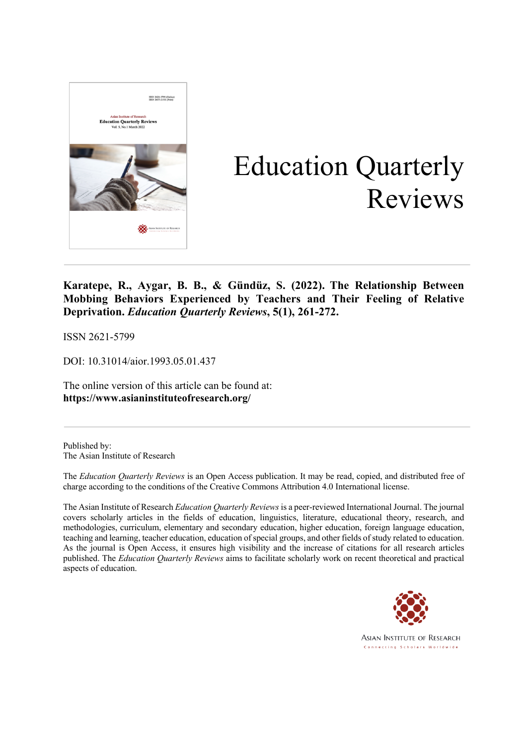

# Education Quarterly Reviews

**Karatepe, R., Aygar, B. B., & Gündüz, S. (2022). The Relationship Between Mobbing Behaviors Experienced by Teachers and Their Feeling of Relative Deprivation.** *Education Quarterly Reviews***, 5(1), 261-272.**

ISSN 2621-5799

DOI: 10.31014/aior.1993.05.01.437

The online version of this article can be found at: **https://www.asianinstituteofresearch.org/**

Published by: The Asian Institute of Research

The *Education Quarterly Reviews* is an Open Access publication. It may be read, copied, and distributed free of charge according to the conditions of the Creative Commons Attribution 4.0 International license.

The Asian Institute of Research *Education Quarterly Reviews* is a peer-reviewed International Journal. The journal covers scholarly articles in the fields of education, linguistics, literature, educational theory, research, and methodologies, curriculum, elementary and secondary education, higher education, foreign language education, teaching and learning, teacher education, education of special groups, and other fields of study related to education. As the journal is Open Access, it ensures high visibility and the increase of citations for all research articles published. The *Education Quarterly Reviews* aims to facilitate scholarly work on recent theoretical and practical aspects of education.



**ASIAN INSTITUTE OF RESEARCH** Connecting Scholars Worldwide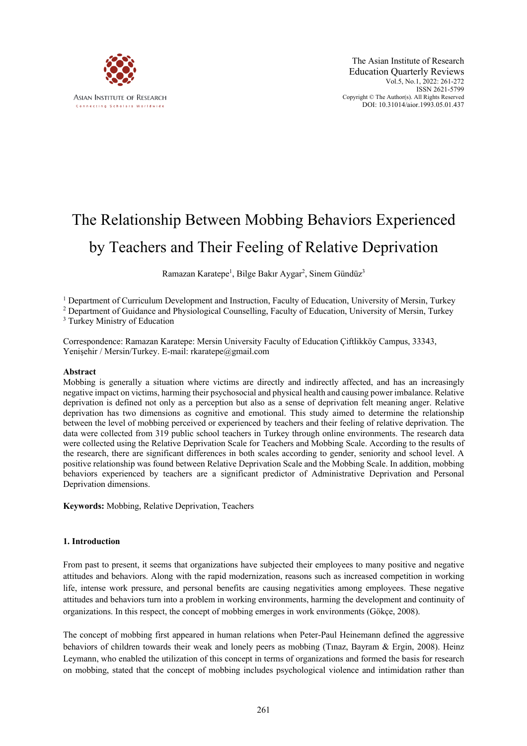

# The Relationship Between Mobbing Behaviors Experienced by Teachers and Their Feeling of Relative Deprivation

Ramazan Karatepe<sup>1</sup>, Bilge Bakır Aygar<sup>2</sup>, Sinem Gündüz<sup>3</sup>

<sup>1</sup> Department of Curriculum Development and Instruction, Faculty of Education, University of Mersin, Turkey

<sup>2</sup> Department of Guidance and Physiological Counselling, Faculty of Education, University of Mersin, Turkey

<sup>3</sup> Turkey Ministry of Education

Correspondence: Ramazan Karatepe: Mersin University Faculty of Education Çiftlikköy Campus, 33343, Yenişehir / Mersin/Turkey. E-mail: rkaratepe@gmail.com

# **Abstract**

Mobbing is generally a situation where victims are directly and indirectly affected, and has an increasingly negative impact on victims, harming their psychosocial and physical health and causing power imbalance. Relative deprivation is defined not only as a perception but also as a sense of deprivation felt meaning anger. Relative deprivation has two dimensions as cognitive and emotional. This study aimed to determine the relationship between the level of mobbing perceived or experienced by teachers and their feeling of relative deprivation. The data were collected from 319 public school teachers in Turkey through online environments. The research data were collected using the Relative Deprivation Scale for Teachers and Mobbing Scale. According to the results of the research, there are significant differences in both scales according to gender, seniority and school level. A positive relationship was found between Relative Deprivation Scale and the Mobbing Scale. In addition, mobbing behaviors experienced by teachers are a significant predictor of Administrative Deprivation and Personal Deprivation dimensions.

**Keywords:** Mobbing, Relative Deprivation, Teachers

# **1. Introduction**

From past to present, it seems that organizations have subjected their employees to many positive and negative attitudes and behaviors. Along with the rapid modernization, reasons such as increased competition in working life, intense work pressure, and personal benefits are causing negativities among employees. These negative attitudes and behaviors turn into a problem in working environments, harming the development and continuity of organizations. In this respect, the concept of mobbing emerges in work environments (Gökçe, 2008).

The concept of mobbing first appeared in human relations when Peter-Paul Heinemann defined the aggressive behaviors of children towards their weak and lonely peers as mobbing (Tınaz, Bayram & Ergin, 2008). Heinz Leymann, who enabled the utilization of this concept in terms of organizations and formed the basis for research on mobbing, stated that the concept of mobbing includes psychological violence and intimidation rather than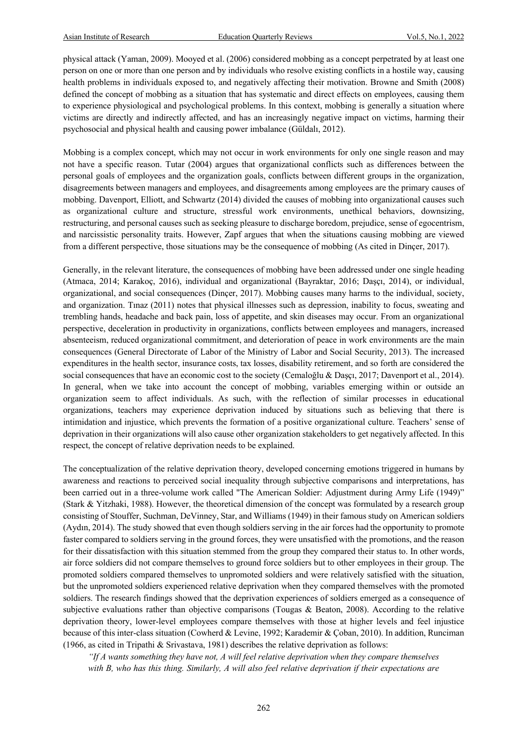physical attack (Yaman, 2009). Mooyed et al. (2006) considered mobbing as a concept perpetrated by at least one person on one or more than one person and by individuals who resolve existing conflicts in a hostile way, causing health problems in individuals exposed to, and negatively affecting their motivation. Browne and Smith (2008) defined the concept of mobbing as a situation that has systematic and direct effects on employees, causing them to experience physiological and psychological problems. In this context, mobbing is generally a situation where victims are directly and indirectly affected, and has an increasingly negative impact on victims, harming their psychosocial and physical health and causing power imbalance (Güldalı, 2012).

Mobbing is a complex concept, which may not occur in work environments for only one single reason and may not have a specific reason. Tutar (2004) argues that organizational conflicts such as differences between the personal goals of employees and the organization goals, conflicts between different groups in the organization, disagreements between managers and employees, and disagreements among employees are the primary causes of mobbing. Davenport, Elliott, and Schwartz (2014) divided the causes of mobbing into organizational causes such as organizational culture and structure, stressful work environments, unethical behaviors, downsizing, restructuring, and personal causes such as seeking pleasure to discharge boredom, prejudice, sense of egocentrism, and narcissistic personality traits. However, Zapf argues that when the situations causing mobbing are viewed from a different perspective, those situations may be the consequence of mobbing (As cited in Dinçer, 2017).

Generally, in the relevant literature, the consequences of mobbing have been addressed under one single heading (Atmaca, 2014; Karakoç, 2016), individual and organizational (Bayraktar, 2016; Daşçı, 2014), or individual, organizational, and social consequences (Dinçer, 2017). Mobbing causes many harms to the individual, society, and organization. Tınaz (2011) notes that physical illnesses such as depression, inability to focus, sweating and trembling hands, headache and back pain, loss of appetite, and skin diseases may occur. From an organizational perspective, deceleration in productivity in organizations, conflicts between employees and managers, increased absenteeism, reduced organizational commitment, and deterioration of peace in work environments are the main consequences (General Directorate of Labor of the Ministry of Labor and Social Security, 2013). The increased expenditures in the health sector, insurance costs, tax losses, disability retirement, and so forth are considered the social consequences that have an economic cost to the society (Cemaloğlu & Dascı, 2017; Davenport et al., 2014). In general, when we take into account the concept of mobbing, variables emerging within or outside an organization seem to affect individuals. As such, with the reflection of similar processes in educational organizations, teachers may experience deprivation induced by situations such as believing that there is intimidation and injustice, which prevents the formation of a positive organizational culture. Teachers' sense of deprivation in their organizations will also cause other organization stakeholders to get negatively affected. In this respect, the concept of relative deprivation needs to be explained.

The conceptualization of the relative deprivation theory, developed concerning emotions triggered in humans by awareness and reactions to perceived social inequality through subjective comparisons and interpretations, has been carried out in a three-volume work called "The American Soldier: Adjustment during Army Life (1949)" (Stark & Yitzhaki, 1988). However, the theoretical dimension of the concept was formulated by a research group consisting of Stouffer, Suchman, DeVinney, Star, and Williams (1949) in their famous study on American soldiers (Aydın, 2014). The study showed that even though soldiers serving in the air forces had the opportunity to promote faster compared to soldiers serving in the ground forces, they were unsatisfied with the promotions, and the reason for their dissatisfaction with this situation stemmed from the group they compared their status to. In other words, air force soldiers did not compare themselves to ground force soldiers but to other employees in their group. The promoted soldiers compared themselves to unpromoted soldiers and were relatively satisfied with the situation, but the unpromoted soldiers experienced relative deprivation when they compared themselves with the promoted soldiers. The research findings showed that the deprivation experiences of soldiers emerged as a consequence of subjective evaluations rather than objective comparisons (Tougas & Beaton, 2008). According to the relative deprivation theory, lower-level employees compare themselves with those at higher levels and feel injustice because of this inter-class situation (Cowherd & Levine, 1992; Karademir & Çoban, 2010). In addition, Runciman (1966, as cited in Tripathi & Srivastava, 1981) describes the relative deprivation as follows:

*"If A wants something they have not, A will feel relative deprivation when they compare themselves with B, who has this thing. Similarly, A will also feel relative deprivation if their expectations are*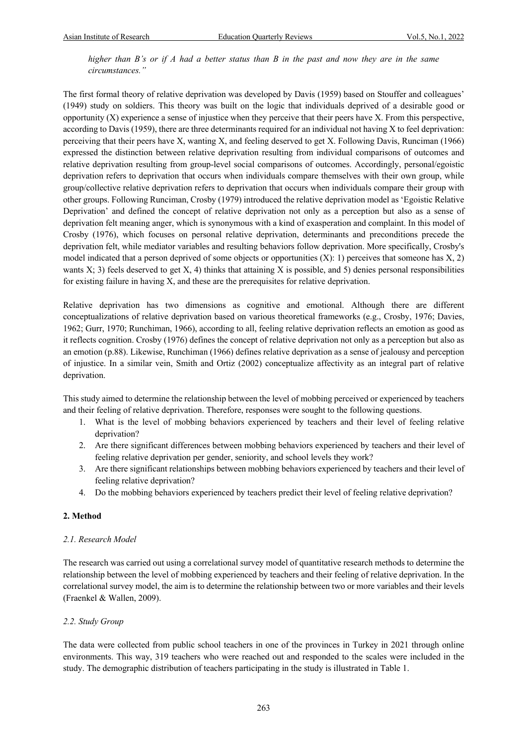*higher than B's or if A had a better status than B in the past and now they are in the same circumstances."*

The first formal theory of relative deprivation was developed by Davis (1959) based on Stouffer and colleagues' (1949) study on soldiers. This theory was built on the logic that individuals deprived of a desirable good or opportunity (X) experience a sense of injustice when they perceive that their peers have X. From this perspective, according to Davis (1959), there are three determinants required for an individual not having X to feel deprivation: perceiving that their peers have X, wanting X, and feeling deserved to get X. Following Davis, Runciman (1966) expressed the distinction between relative deprivation resulting from individual comparisons of outcomes and relative deprivation resulting from group-level social comparisons of outcomes. Accordingly, personal/egoistic deprivation refers to deprivation that occurs when individuals compare themselves with their own group, while group/collective relative deprivation refers to deprivation that occurs when individuals compare their group with other groups. Following Runciman, Crosby (1979) introduced the relative deprivation model as 'Egoistic Relative Deprivation' and defined the concept of relative deprivation not only as a perception but also as a sense of deprivation felt meaning anger, which is synonymous with a kind of exasperation and complaint. In this model of Crosby (1976), which focuses on personal relative deprivation, determinants and preconditions precede the deprivation felt, while mediator variables and resulting behaviors follow deprivation. More specifically, Crosby's model indicated that a person deprived of some objects or opportunities  $(X)$ : 1) perceives that someone has  $X$ , 2) wants  $X$ ; 3) feels deserved to get  $X$ , 4) thinks that attaining  $X$  is possible, and 5) denies personal responsibilities for existing failure in having X, and these are the prerequisites for relative deprivation.

Relative deprivation has two dimensions as cognitive and emotional. Although there are different conceptualizations of relative deprivation based on various theoretical frameworks (e.g., Crosby, 1976; Davies, 1962; Gurr, 1970; Runchiman, 1966), according to all, feeling relative deprivation reflects an emotion as good as it reflects cognition. Crosby (1976) defines the concept of relative deprivation not only as a perception but also as an emotion (p.88). Likewise, Runchiman (1966) defines relative deprivation as a sense of jealousy and perception of injustice. In a similar vein, Smith and Ortiz (2002) conceptualize affectivity as an integral part of relative deprivation.

This study aimed to determine the relationship between the level of mobbing perceived or experienced by teachers and their feeling of relative deprivation. Therefore, responses were sought to the following questions.

- 1. What is the level of mobbing behaviors experienced by teachers and their level of feeling relative deprivation?
- 2. Are there significant differences between mobbing behaviors experienced by teachers and their level of feeling relative deprivation per gender, seniority, and school levels they work?
- 3. Are there significant relationships between mobbing behaviors experienced by teachers and their level of feeling relative deprivation?
- 4. Do the mobbing behaviors experienced by teachers predict their level of feeling relative deprivation?

# **2. Method**

# *2.1. Research Model*

The research was carried out using a correlational survey model of quantitative research methods to determine the relationship between the level of mobbing experienced by teachers and their feeling of relative deprivation. In the correlational survey model, the aim is to determine the relationship between two or more variables and their levels (Fraenkel & Wallen, 2009).

# *2.2. Study Group*

The data were collected from public school teachers in one of the provinces in Turkey in 2021 through online environments. This way, 319 teachers who were reached out and responded to the scales were included in the study. The demographic distribution of teachers participating in the study is illustrated in Table 1.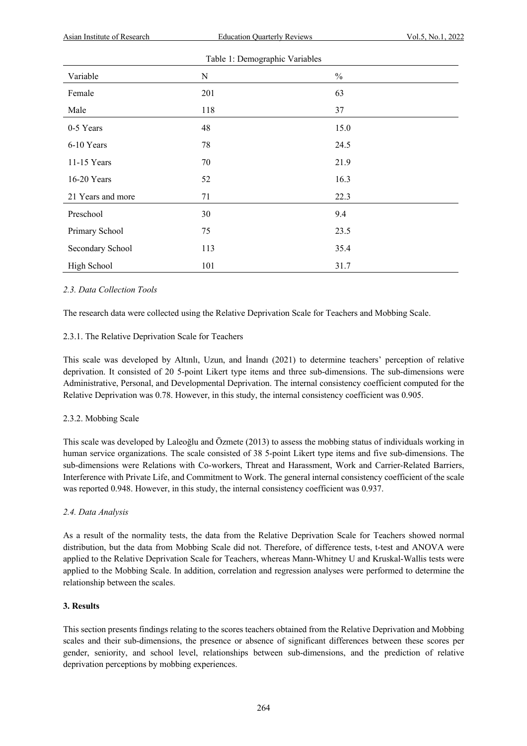| <b>Asian Institute of Research</b> | <b>Education Quarterly Reviews</b> | Vol.5, No.1, 2022 |  |
|------------------------------------|------------------------------------|-------------------|--|
|                                    |                                    |                   |  |
| Variable                           | $\mathbf N$                        | $\frac{0}{0}$     |  |
| Female                             | 201                                | 63                |  |
| Male                               | 118                                | 37                |  |
| 0-5 Years                          | 48                                 | 15.0              |  |
| 6-10 Years                         | 78                                 | 24.5              |  |
| 11-15 Years                        | 70                                 | 21.9              |  |
| 16-20 Years                        | 52                                 | 16.3              |  |
| 21 Years and more                  | 71                                 | 22.3              |  |
| Preschool                          | 30                                 | 9.4               |  |
| Primary School                     | 75                                 | 23.5              |  |
| Secondary School                   | 113                                | 35.4              |  |
| High School                        | 101                                | 31.7              |  |

# *2.3. Data Collection Tools*

The research data were collected using the Relative Deprivation Scale for Teachers and Mobbing Scale.

# 2.3.1. The Relative Deprivation Scale for Teachers

This scale was developed by Altınlı, Uzun, and İnandı (2021) to determine teachers' perception of relative deprivation. It consisted of 20 5-point Likert type items and three sub-dimensions. The sub-dimensions were Administrative, Personal, and Developmental Deprivation. The internal consistency coefficient computed for the Relative Deprivation was 0.78. However, in this study, the internal consistency coefficient was 0.905.

# 2.3.2. Mobbing Scale

This scale was developed by Laleoğlu and Özmete (2013) to assess the mobbing status of individuals working in human service organizations. The scale consisted of 38 5-point Likert type items and five sub-dimensions. The sub-dimensions were Relations with Co-workers, Threat and Harassment, Work and Carrier-Related Barriers, Interference with Private Life, and Commitment to Work. The general internal consistency coefficient of the scale was reported 0.948. However, in this study, the internal consistency coefficient was 0.937.

# *2.4. Data Analysis*

As a result of the normality tests, the data from the Relative Deprivation Scale for Teachers showed normal distribution, but the data from Mobbing Scale did not. Therefore, of difference tests, t-test and ANOVA were applied to the Relative Deprivation Scale for Teachers, whereas Mann-Whitney U and Kruskal-Wallis tests were applied to the Mobbing Scale. In addition, correlation and regression analyses were performed to determine the relationship between the scales.

# **3. Results**

This section presents findings relating to the scores teachers obtained from the Relative Deprivation and Mobbing scales and their sub-dimensions, the presence or absence of significant differences between these scores per gender, seniority, and school level, relationships between sub-dimensions, and the prediction of relative deprivation perceptions by mobbing experiences.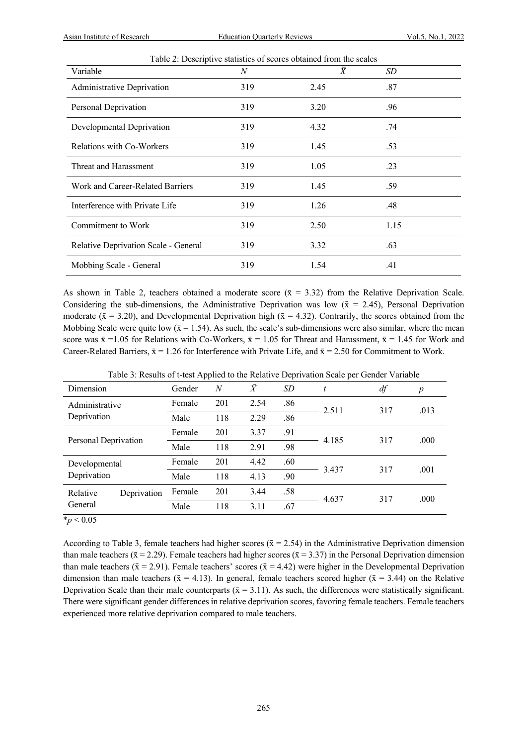| Table 2: Descriptive statistics of scores obtained from the scales |     |                |      |  |  |  |  |
|--------------------------------------------------------------------|-----|----------------|------|--|--|--|--|
| Variable                                                           | N   | $\overline{X}$ | SD.  |  |  |  |  |
| Administrative Deprivation                                         | 319 | 2.45           | .87  |  |  |  |  |
| Personal Deprivation                                               | 319 | 3.20           | .96  |  |  |  |  |
| Developmental Deprivation                                          | 319 | 4.32           | .74  |  |  |  |  |
| Relations with Co-Workers                                          | 319 | 1.45           | .53  |  |  |  |  |
| Threat and Harassment                                              | 319 | 1.05           | .23  |  |  |  |  |
| Work and Career-Related Barriers                                   | 319 | 1.45           | .59  |  |  |  |  |
| Interference with Private Life                                     | 319 | 1.26           | .48  |  |  |  |  |
| Commitment to Work                                                 | 319 | 2.50           | 1.15 |  |  |  |  |
| Relative Deprivation Scale - General                               | 319 | 3.32           | .63  |  |  |  |  |
| Mobbing Scale - General                                            | 319 | 1.54           | .41  |  |  |  |  |

As shown in Table 2, teachers obtained a moderate score  $(\bar{x} = 3.32)$  from the Relative Deprivation Scale. Considering the sub-dimensions, the Administrative Deprivation was low ( $\bar{x}$  = 2.45), Personal Deprivation moderate ( $\bar{x}$  = 3.20), and Developmental Deprivation high ( $\bar{x}$  = 4.32). Contrarily, the scores obtained from the Mobbing Scale were quite low ( $\bar{x} = 1.54$ ). As such, the scale's sub-dimensions were also similar, where the mean score was  $\bar{x} = 1.05$  for Relations with Co-Workers,  $\bar{x} = 1.05$  for Threat and Harassment,  $\bar{x} = 1.45$  for Work and Career-Related Barriers,  $\bar{x} = 1.26$  for Interference with Private Life, and  $\bar{x} = 2.50$  for Commitment to Work.

|                         | $\mathbf{r}$ |     |           | л.  | $\mathbf{r}$ |     |                  |
|-------------------------|--------------|-----|-----------|-----|--------------|-----|------------------|
| Dimension               | Gender       | N   | $\bar{X}$ | SD  | t            | df  | $\boldsymbol{p}$ |
| Administrative          | Female       | 201 | 2.54      | .86 |              | 317 | .013             |
| Deprivation             | Male         | 118 | 2.29      | .86 | 2.511        |     |                  |
|                         | Female       | 201 | 3.37      | .91 |              | 317 | .000             |
| Personal Deprivation    | Male         | 118 | 2.91      | .98 | 4.185        |     |                  |
| Developmental           | Female       | 201 | 4.42      | .60 | 3.437        | 317 | .001             |
| Deprivation             | Male         | 118 | 4.13      | .90 |              |     |                  |
| Relative<br>Deprivation | Female       | 201 | 3.44      | .58 | 4.637        | 317 | .000             |
| General                 | Male         | 118 | 3.11      | .67 |              |     |                  |

Table 3: Results of t-test Applied to the Relative Deprivation Scale per Gender Variable

 $*_{p}$  < 0.05

According to Table 3, female teachers had higher scores ( $\bar{x} = 2.54$ ) in the Administrative Deprivation dimension than male teachers ( $\bar{x} = 2.29$ ). Female teachers had higher scores ( $\bar{x} = 3.37$ ) in the Personal Deprivation dimension than male teachers ( $\bar{x} = 2.91$ ). Female teachers' scores ( $\bar{x} = 4.42$ ) were higher in the Developmental Deprivation dimension than male teachers ( $\bar{x} = 4.13$ ). In general, female teachers scored higher ( $\bar{x} = 3.44$ ) on the Relative Deprivation Scale than their male counterparts ( $\bar{x} = 3.11$ ). As such, the differences were statistically significant. There were significant gender differences in relative deprivation scores, favoring female teachers. Female teachers experienced more relative deprivation compared to male teachers.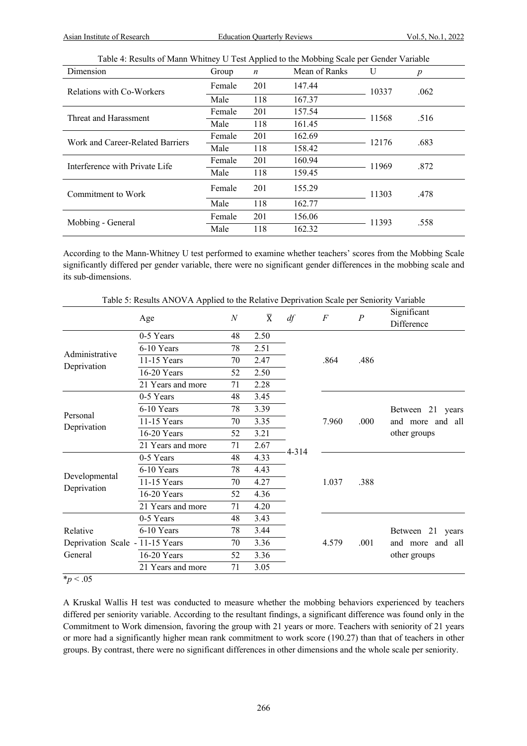|  | Table 4: Results of Mann Whitney U Test Applied to the Mobbing Scale per Gender Variable |  |
|--|------------------------------------------------------------------------------------------|--|
|  |                                                                                          |  |

| Dimension                        | Group  | $\boldsymbol{n}$ | Mean of Ranks | U     | $\boldsymbol{p}$ |
|----------------------------------|--------|------------------|---------------|-------|------------------|
| Relations with Co-Workers        | Female | 201              | 147.44        | 10337 | .062             |
|                                  | Male   | 118              | 167.37        |       |                  |
| Threat and Harassment            | Female | 201              | 157.54        | 11568 | .516             |
|                                  | Male   | 118              | 161.45        |       |                  |
| Work and Career-Related Barriers | Female | 201              | 162.69        | 12176 | .683             |
|                                  | Male   | 118              | 158.42        |       |                  |
| Interference with Private Life   | Female | 201              | 160.94        | 11969 | .872             |
|                                  | Male   | 118              | 159.45        |       |                  |
| Commitment to Work               | Female | 201              | 155.29        | 11303 | .478             |
|                                  | Male   | 118              | 162.77        |       |                  |
| Mobbing - General                | Female | 201              | 156.06        | 11393 | .558             |
|                                  | Male   | 118              | 162.32        |       |                  |

According to the Mann-Whitney U test performed to examine whether teachers' scores from the Mobbing Scale significantly differed per gender variable, there were no significant gender differences in the mobbing scale and its sub-dimensions.

Table 5: Results ANOVA Applied to the Relative Deprivation Scale per Seniority Variable

|                                 | Age               | $\overline{N}$ | $\overline{X}$ | df    | $\boldsymbol{F}$ | $\boldsymbol{P}$ | Significant<br>Difference        |
|---------------------------------|-------------------|----------------|----------------|-------|------------------|------------------|----------------------------------|
|                                 | 0-5 Years         | 48             | 2.50           |       |                  |                  |                                  |
|                                 | 6-10 Years        | 78             | 2.51           |       |                  |                  |                                  |
| Administrative                  | 11-15 Years       | 70             | 2.47           |       | .864             | .486             |                                  |
| Deprivation                     | 16-20 Years       | 52             | 2.50           |       |                  |                  |                                  |
|                                 | 21 Years and more | 71             | 2.28           |       |                  |                  |                                  |
|                                 | 0-5 Years         | 48             | 3.45           |       |                  |                  |                                  |
|                                 | 6-10 Years        | 78             | 3.39           |       |                  | .000             | Between 21 years                 |
| Personal                        | 11-15 Years       | 70             | 3.35           |       | 7.960            |                  | and more and all<br>other groups |
| Deprivation                     | 16-20 Years       | 52             | 3.21           |       |                  |                  |                                  |
|                                 | 21 Years and more | 71             | 2.67           |       |                  |                  |                                  |
|                                 | 0-5 Years         | 48             | 4.33           | 4-314 |                  |                  |                                  |
|                                 | 6-10 Years        | 78             | 4.43           |       |                  | .388             |                                  |
| Developmental                   | 11-15 Years       | 70             | 4.27           |       | 1.037            |                  |                                  |
| Deprivation                     | 16-20 Years       | 52             | 4.36           |       |                  |                  |                                  |
|                                 | 21 Years and more | 71             | 4.20           |       |                  |                  |                                  |
|                                 | 0-5 Years         | 48             | 3.43           |       |                  |                  |                                  |
| Relative                        | 6-10 Years        | 78             | 3.44           |       |                  |                  | Between 21 years                 |
| Deprivation Scale - 11-15 Years |                   | 70             | 3.36           |       | 4.579            | .001             | and more and all                 |
| General                         | 16-20 Years       | 52             | 3.36           |       |                  |                  | other groups                     |
|                                 | 21 Years and more | 71             | 3.05           |       |                  |                  |                                  |

 $\frac{1}{2}p < .05$ 

A Kruskal Wallis H test was conducted to measure whether the mobbing behaviors experienced by teachers differed per seniority variable. According to the resultant findings, a significant difference was found only in the Commitment to Work dimension, favoring the group with 21 years or more. Teachers with seniority of 21 years or more had a significantly higher mean rank commitment to work score (190.27) than that of teachers in other groups. By contrast, there were no significant differences in other dimensions and the whole scale per seniority.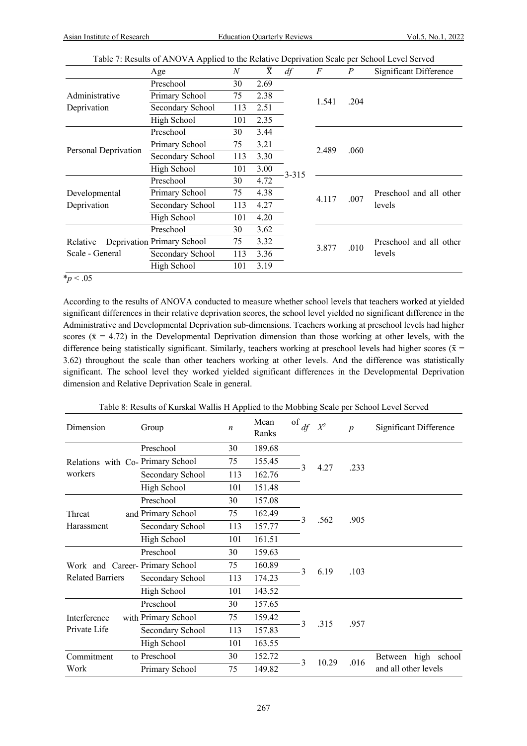|                             | Pable 7. Results of TETO VIXTIpplied to the Relative Deptivation beare per behoof Level bet ved |     |                |           |       |              |                                   |  |
|-----------------------------|-------------------------------------------------------------------------------------------------|-----|----------------|-----------|-------|--------------|-----------------------------------|--|
|                             | Age                                                                                             | N   | $\overline{X}$ | df        | F     | P            | Significant Difference            |  |
|                             | Preschool                                                                                       | 30  | 2.69           |           |       |              |                                   |  |
| Administrative              | Primary School                                                                                  | 75  | 2.38           |           | 1.541 |              |                                   |  |
| Deprivation                 | Secondary School                                                                                | 113 | 2.51           |           |       | .204         |                                   |  |
|                             | High School                                                                                     | 101 | 2.35           |           |       |              |                                   |  |
|                             | Preschool                                                                                       | 30  | 3.44           |           |       |              |                                   |  |
|                             | Primary School                                                                                  | 75  | 3.21           |           | 2.489 | .060<br>.007 |                                   |  |
| Personal Deprivation        | Secondary School                                                                                | 113 | 3.30           |           |       |              |                                   |  |
|                             | High School                                                                                     | 101 | 3.00           | $3 - 315$ |       |              |                                   |  |
|                             | Preschool                                                                                       | 30  | 4.72           |           |       |              | Preschool and all other           |  |
| Developmental               | Primary School                                                                                  | 75  | 4.38           |           | 4.117 |              |                                   |  |
| Deprivation                 | Secondary School                                                                                | 113 | 4.27           |           |       |              | levels                            |  |
|                             | High School                                                                                     | 101 | 4.20           |           |       |              |                                   |  |
|                             | Preschool                                                                                       | 30  | 3.62           |           |       |              |                                   |  |
| Relative<br>Scale - General | Deprivation Primary School                                                                      | 75  | 3.32           |           | 3.877 | .010         | Preschool and all other<br>levels |  |
|                             | Secondary School                                                                                | 113 | 3.36           |           |       |              |                                   |  |
|                             | High School                                                                                     | 101 | 3.19           |           |       |              |                                   |  |

Table 7: Results of ANOVA Applied to the Relative Deprivation Scale per School Level Served

 $*_{p}$  < .05

According to the results of ANOVA conducted to measure whether school levels that teachers worked at yielded significant differences in their relative deprivation scores, the school level yielded no significant difference in the Administrative and Developmental Deprivation sub-dimensions. Teachers working at preschool levels had higher scores ( $\bar{x} = 4.72$ ) in the Developmental Deprivation dimension than those working at other levels, with the difference being statistically significant. Similarly, teachers working at preschool levels had higher scores ( $\bar{x}$  = 3.62) throughout the scale than other teachers working at other levels. And the difference was statistically significant. The school level they worked yielded significant differences in the Developmental Deprivation dimension and Relative Deprivation Scale in general.

Table 8: Results of Kurskal Wallis H Applied to the Mobbing Scale per School Level Served

| Dimension                         | Group               | $\boldsymbol{n}$ | Mean<br>Ranks | of<br>df     | $X^2$ | $\boldsymbol{p}$ | Significant Difference |
|-----------------------------------|---------------------|------------------|---------------|--------------|-------|------------------|------------------------|
|                                   | Preschool           | 30               | 189.68        |              |       |                  |                        |
| Relations with Co- Primary School |                     | 75               | 155.45        | 3            | 4.27  | .233             |                        |
| workers                           | Secondary School    | 113              | 162.76        |              |       |                  |                        |
|                                   | High School         | 101              | 151.48        |              |       |                  |                        |
|                                   | Preschool           | 30               | 157.08        |              |       |                  |                        |
| Threat                            | and Primary School  | 75               | 162.49        | 3            | .562  | .905             |                        |
| Harassment                        | Secondary School    | 113              | 157.77        |              |       |                  |                        |
|                                   | High School         | 101              | 161.51        |              |       |                  |                        |
|                                   | Preschool           | 30               | 159.63        |              |       |                  |                        |
| Work and Career-Primary School    |                     | 75               | 160.89        | 3            | 6.19  | .103             |                        |
| <b>Related Barriers</b>           | Secondary School    | 113              | 174.23        |              |       |                  |                        |
|                                   | High School         | 101              | 143.52        |              |       |                  |                        |
|                                   | Preschool           | 30               | 157.65        |              |       |                  |                        |
| Interference                      | with Primary School | 75               | 159.42        | $\mathbf{3}$ | .315  | .957             |                        |
| Private Life                      | Secondary School    | 113              | 157.83        |              |       |                  |                        |
|                                   | High School         | 101              | 163.55        |              |       |                  |                        |
| Commitment                        | to Preschool        | 30               | 152.72        | 3            | 10.29 | .016             | Between high school    |
| Work                              | Primary School      | 75               | 149.82        |              |       |                  | and all other levels   |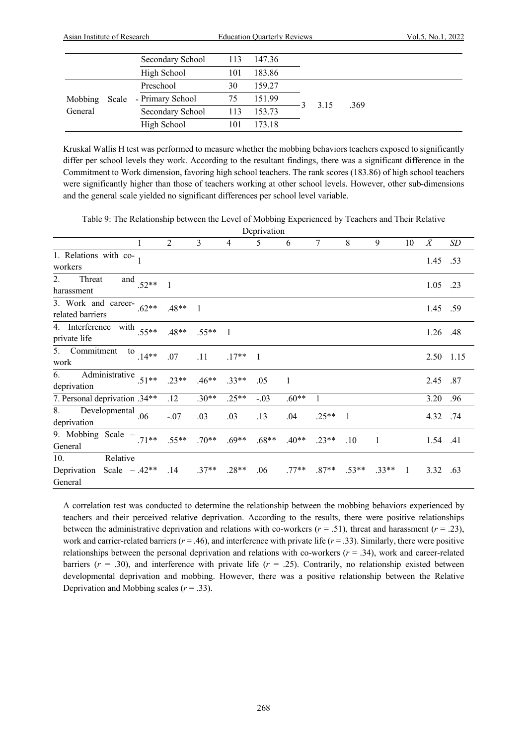|         | Asian Institute of Research |                  |     | <b>Education Quarterly Reviews</b> |  |      | Vol.5, No.1, 2022 |  |
|---------|-----------------------------|------------------|-----|------------------------------------|--|------|-------------------|--|
|         |                             | Secondary School | 113 | 147.36                             |  |      |                   |  |
|         |                             | High School      | 101 | 183.86                             |  |      |                   |  |
|         |                             | Preschool        | 30  | 159.27                             |  |      |                   |  |
| Mobbing | Scale                       | - Primary School | 75  | 151.99                             |  | 3.15 | .369              |  |
| General | Secondary School            |                  | 113 | 153.73                             |  |      |                   |  |
|         |                             | High School      | 101 | 173.18                             |  |      |                   |  |

Kruskal Wallis H test was performed to measure whether the mobbing behaviors teachers exposed to significantly differ per school levels they work. According to the resultant findings, there was a significant difference in the Commitment to Work dimension, favoring high school teachers. The rank scores (183.86) of high school teachers were significantly higher than those of teachers working at other school levels. However, other sub-dimensions and the general scale yielded no significant differences per school level variable.

Table 9: The Relationship between the Level of Mobbing Experienced by Teachers and Their Relative

Deprivation 1 2 3 4 5 6 7 8 9 10 *X̄ SD* 1. Relations with co- $\frac{1.45}{1.53}$  .53 2. Threat and  $\frac{1.05}{1.05}$  .52\*\* 1 1.05 .23 3. Work and career $r = 1.45$  .59<br>related barriers .62\*\* .48\*\* 1 4. Interference with private life ...  $.55**$  ...  $.48**$  ...  $.55**$  1 ... 1.26 ... 48 ... 1.26 ... 48 ... 5. Commitment to work ...  $14**$  ...  $07$  ...  $11$  ...  $17**$  1 2.50 1.15 6. Administrative deprivation .51\*\* .23\*\* .46\*\* .33\*\* .05 1 2.45 .87 7. Personal deprivation .34\*\* .12 .30\*\* .25\*\* -.03 .60\*\* 1 .3.20 .96 8. Developmental deprivation .06 -.07 .03 .03 .13 .04 .25<sup>\*\*</sup> 1 .4.32 .74 9. Mobbing Scale General .71\*\* .55\*\* .70\*\* .69\*\* .68\*\* .40\*\* .23\*\* .10 <sup>1</sup> 1.54 .41 10. Relative Deprivation Scale  $-.42**$ General .42\*\* .14 .37\*\* .28\*\* .06 .77\*\* .87\*\* .53\*\* .33\*\* 1 3.32 .63

A correlation test was conducted to determine the relationship between the mobbing behaviors experienced by teachers and their perceived relative deprivation. According to the results, there were positive relationships between the administrative deprivation and relations with co-workers  $(r = .51)$ , threat and harassment  $(r = .23)$ , work and carrier-related barriers ( $r = .46$ ), and interference with private life ( $r = .33$ ). Similarly, there were positive relationships between the personal deprivation and relations with co-workers (*r* = .34), work and career-related barriers ( $r = .30$ ), and interference with private life ( $r = .25$ ). Contrarily, no relationship existed between developmental deprivation and mobbing. However, there was a positive relationship between the Relative Deprivation and Mobbing scales  $(r = .33)$ .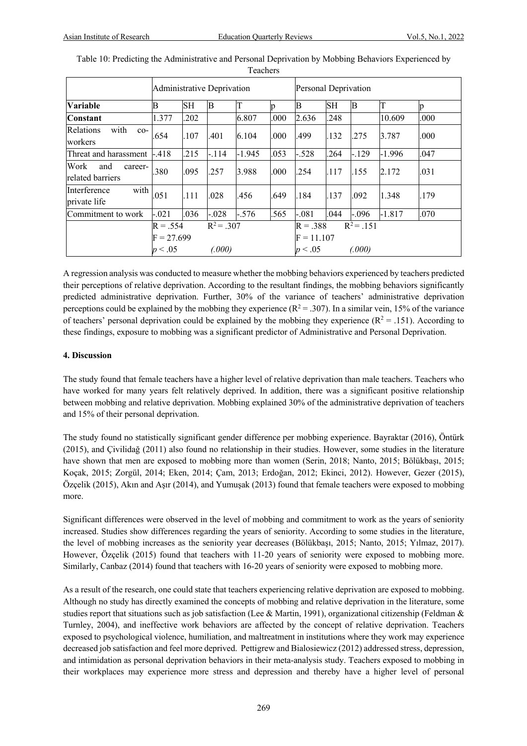|                                            | <b>Administrative Deprivation</b>     |      |                        |          |      | Personal Deprivation                  |           |                        |          |      |
|--------------------------------------------|---------------------------------------|------|------------------------|----------|------|---------------------------------------|-----------|------------------------|----------|------|
| <b>Variable</b>                            | B                                     | SH   | B                      | T        | n    | В                                     | <b>SH</b> | B                      | T        | n    |
| <b>Constant</b>                            | 1.377                                 | .202 |                        | 6.807    | .000 | 2.636                                 | .248      |                        | 10.609   | .000 |
| with<br>Relations<br>$co-$<br>workers      | .654                                  | .107 | .401                   | 6.104    | .000 | .499                                  | .132      | .275                   | 3.787    | .000 |
| Threat and harassment  -.418               |                                       | .215 | $-.114$                | $-1.945$ | .053 | $-.528$                               | .264      | $-.129$                | $-1.996$ | .047 |
| Work<br>and<br>career-<br>related barriers | .380                                  | .095 | .257                   | 3.988    | .000 | .254                                  | .117      | l.155                  | 2.172    | .031 |
| with<br>Interference<br>private life       | .051                                  | .111 | .028                   | .456     | .649 | .184                                  | .137      | .092                   | 1.348    | .179 |
| Commitment to work                         | $-.021$                               | .036 | $-.028$                | $-.576$  | .565 | $-.081$                               | .044      | $-.096$                | $-1.817$ | .070 |
|                                            | $R = .554$<br>$F = 27.699$<br>p < .05 |      | $R^2 = .307$<br>(.000) |          |      | $R = .388$<br>$F = 11.107$<br>p < .05 |           | $R^2 = .151$<br>(.000) |          |      |

| Table 10: Predicting the Administrative and Personal Deprivation by Mobbing Behaviors Experienced by |
|------------------------------------------------------------------------------------------------------|
| <b>Teachers</b>                                                                                      |

A regression analysis was conducted to measure whether the mobbing behaviors experienced by teachers predicted their perceptions of relative deprivation. According to the resultant findings, the mobbing behaviors significantly predicted administrative deprivation. Further, 30% of the variance of teachers' administrative deprivation perceptions could be explained by the mobbing they experience  $(R^2 = .307)$ . In a similar vein, 15% of the variance of teachers' personal deprivation could be explained by the mobbing they experience  $(R^2 = .151)$ . According to these findings, exposure to mobbing was a significant predictor of Administrative and Personal Deprivation.

# **4. Discussion**

The study found that female teachers have a higher level of relative deprivation than male teachers. Teachers who have worked for many years felt relatively deprived. In addition, there was a significant positive relationship between mobbing and relative deprivation. Mobbing explained 30% of the administrative deprivation of teachers and 15% of their personal deprivation.

The study found no statistically significant gender difference per mobbing experience. Bayraktar (2016), Öntürk (2015), and Çivilidağ (2011) also found no relationship in their studies. However, some studies in the literature have shown that men are exposed to mobbing more than women (Serin, 2018; Nanto, 2015; Bölükbaşı, 2015; Koçak, 2015; Zorgül, 2014; Eken, 2014; Çam, 2013; Erdoğan, 2012; Ekinci, 2012). However, Gezer (2015), Özçelik (2015), Akın and Aşır (2014), and Yumuşak (2013) found that female teachers were exposed to mobbing more.

Significant differences were observed in the level of mobbing and commitment to work as the years of seniority increased. Studies show differences regarding the years of seniority. According to some studies in the literature, the level of mobbing increases as the seniority year decreases (Bölükbaşı, 2015; Nanto, 2015; Yılmaz, 2017). However, Özçelik (2015) found that teachers with 11-20 years of seniority were exposed to mobbing more. Similarly, Canbaz (2014) found that teachers with 16-20 years of seniority were exposed to mobbing more.

As a result of the research, one could state that teachers experiencing relative deprivation are exposed to mobbing. Although no study has directly examined the concepts of mobbing and relative deprivation in the literature, some studies report that situations such as job satisfaction (Lee & Martin, 1991), organizational citizenship (Feldman & Turnley, 2004), and ineffective work behaviors are affected by the concept of relative deprivation. Teachers exposed to psychological violence, humiliation, and maltreatment in institutions where they work may experience decreased job satisfaction and feel more deprived. Pettigrew and Bialosiewicz (2012) addressed stress, depression, and intimidation as personal deprivation behaviors in their meta-analysis study. Teachers exposed to mobbing in their workplaces may experience more stress and depression and thereby have a higher level of personal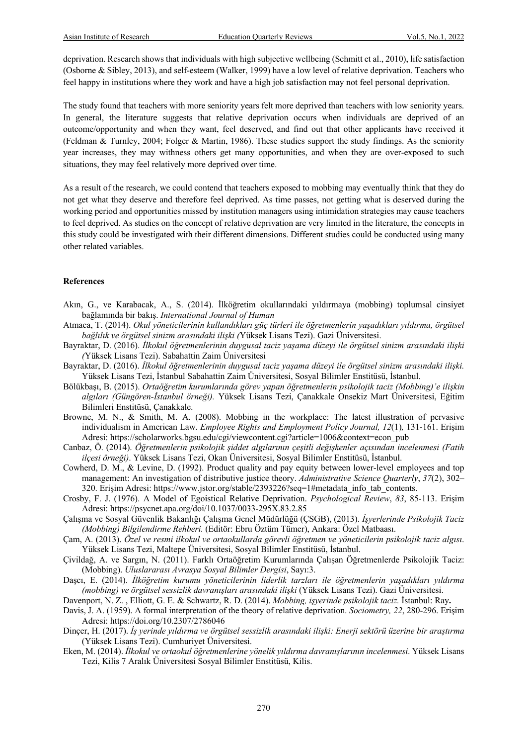deprivation. Research shows that individuals with high subjective wellbeing (Schmitt et al., 2010), life satisfaction (Osborne & Sibley, 2013), and self-esteem (Walker, 1999) have a low level of relative deprivation. Teachers who feel happy in institutions where they work and have a high job satisfaction may not feel personal deprivation.

The study found that teachers with more seniority years felt more deprived than teachers with low seniority years. In general, the literature suggests that relative deprivation occurs when individuals are deprived of an outcome/opportunity and when they want, feel deserved, and find out that other applicants have received it (Feldman & Turnley, 2004; Folger & Martin, 1986). These studies support the study findings. As the seniority year increases, they may withness others get many opportunities, and when they are over-exposed to such situations, they may feel relatively more deprived over time.

As a result of the research, we could contend that teachers exposed to mobbing may eventually think that they do not get what they deserve and therefore feel deprived. As time passes, not getting what is deserved during the working period and opportunities missed by institution managers using intimidation strategies may cause teachers to feel deprived. As studies on the concept of relative deprivation are very limited in the literature, the concepts in this study could be investigated with their different dimensions. Different studies could be conducted using many other related variables.

#### **References**

- Akın, G., ve Karabacak, A., S. (2014). İlköğretim okullarındaki yıldırmaya (mobbing) toplumsal cinsiyet bağlamında bir bakış. *International Journal of Human*
- Atmaca, T. (2014). *Okul yöneticilerinin kullandıkları güç türleri ile öğretmenlerin yaşadıkları yıldırma, örgütsel bağlılık ve örgütsel sinizm arasındaki ilişki (*Yüksek Lisans Tezi). Gazi Üniversitesi.
- Bayraktar, D. (2016). *İlkokul öğretmenlerinin duygusal taciz yaşama düzeyi ile örgütsel sinizm arasındaki ilişki (*Yüksek Lisans Tezi). Sabahattin Zaim Üniversitesi
- Bayraktar, D. (2016). *İlkokul öğretmenlerinin duygusal taciz yaşama düzeyi ile örgütsel sinizm arasındaki ilişki.*  Yüksek Lisans Tezi, İstanbul Sabahattin Zaim Üniversitesi, Sosyal Bilimler Enstitüsü, İstanbul.
- Bölükbaşı, B. (2015). *Ortaöğretim kurumlarında görev yapan öğretmenlerin psikolojik taciz (Mobbing)'e ilişkin algıları (Güngören-İstanbul örneği).* Yüksek Lisans Tezi, Çanakkale Onsekiz Mart Üniversitesi, Eğitim Bilimleri Enstitüsü, Çanakkale.
- Browne, M. N., & Smith, M. A. (2008). Mobbing in the workplace: The latest illustration of pervasive individualism in American Law. *Employee Rights and Employment Policy Journal, 12*(1)*,* 131-161. Erişim Adresi: https://scholarworks.bgsu.edu/cgi/viewcontent.cgi?article=1006&context=econ\_pub
- Canbaz, Ö. (2014). *Öğretmenlerin psikolojik şiddet algılarının çeşitli değişkenler açısından incelenmesi (Fatih ilçesi örneği)*. Yüksek Lisans Tezi, Okan Üniversitesi, Sosyal Bilimler Enstitüsü, İstanbul.
- Cowherd, D. M., & Levine, D. (1992). Product quality and pay equity between lower-level employees and top management: An investigation of distributive justice theory. *Administrative Science Quarterly*, *37*(2), 302– 320. Erişim Adresi: https://www.jstor.org/stable/2393226?seq=1#metadata\_info\_tab\_contents.
- Crosby, F. J. (1976). A Model of Egoistical Relative Deprivation. *Psychological Review*, *83*, 85-113. Erişim Adresi: https://psycnet.apa.org/doi/10.1037/0033-295X.83.2.85
- Çalışma ve Sosyal Güvenlik Bakanlığı Çalışma Genel Müdürlüğü (ÇSGB), (2013). *İşyerlerinde Psikolojik Taciz (Mobbing) Bilgilendirme Rehberi.* (Editör: Ebru Öztüm Tümer), Ankara: Özel Matbaası.
- Çam, A. (2013). *Özel ve resmi ilkokul ve ortaokullarda görevli öğretmen ve yöneticilerin psikolojik taciz algısı*. Yüksek Lisans Tezi, Maltepe Üniversitesi, Sosyal Bilimler Enstitüsü, İstanbul.
- Çivildağ, A. ve Sargın, N. (2011). Farklı Ortaöğretim Kurumlarında Çalışan Öğretmenlerde Psikolojik Taciz: (Mobbing). *Uluslararası Avrasya Sosyal Bilimler Dergisi*, Sayı:3.
- Daşcı, E. (2014). *İlköğretim kurumu yöneticilerinin liderlik tarzları ile öğretmenlerin yaşadıkları yıldırma (mobbing) ve örgütsel sessizlik davranışları arasındaki ilişki* (Yüksek Lisans Tezi). Gazi Üniversitesi.
- Davenport, N. Z. , Elliott, G. E. & Schwartz, R. D. (2014). *Mobbing, işyerinde psikolojik taciz.* İstanbul: Ray**.**
- Davis, J. A. (1959). A formal interpretation of the theory of relative deprivation. *Sociometry, 22*, 280-296. Erişim Adresi: https://doi.org/10.2307/2786046
- Dinçer, H. (2017). *İş yerinde yıldırma ve örgütsel sessizlik arasındaki ilişki: Enerji sektörü üzerine bir araştırma*  (Yüksek Lisans Tezi). Cumhuriyet Üniversitesi.
- Eken, M. (2014). *İlkokul ve ortaokul öğretmenlerine yönelik yıldırma davranışlarının incelenmesi*. Yüksek Lisans Tezi, Kilis 7 Aralık Üniversitesi Sosyal Bilimler Enstitüsü, Kilis.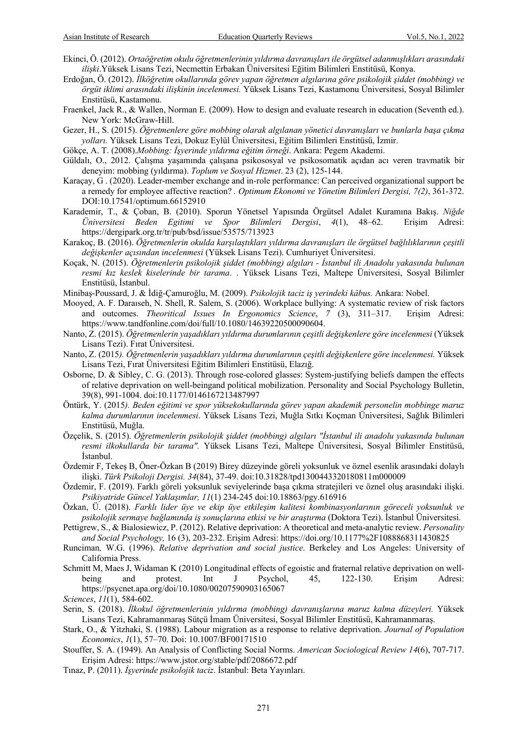- Ekinci, Ö. (2012). *Ortaöğretim okulu öğretmenlerinin yıldırma davranışları ile örgütsel adanmışlıkları arasındaki ilişki*.Yüksek Lisans Tezi, Necmettin Erbakan Üniversitesi Eğitim Bilimleri Enstitüsü, Konya.
- Erdoğan, Ö. (2012). *İlköğretim okullarında görev yapan öğretmen algılarına göre psikolojik şiddet (mobbing) ve örgüt iklimi arasındaki ilişkinin incelenmesi.* Yüksek Lisans Tezi, Kastamonu Üniversitesi, Sosyal Bilimler Enstitüsü, Kastamonu.
- Fraenkel, Jack R., & Wallen, Norman E. (2009). How to design and evaluate research in education (Seventh ed.). New York: McGraw-Hill.
- Gezer, H., S. (2015). *Öğretmenlere göre mobbing olarak algılanan yönetici davranışları ve bunlarla başa çıkma yolları.* Yüksek Lisans Tezi, Dokuz Eylül Üniversitesi, Eğitim Bilimleri Enstitüsü, İzmir.
- Gökçe, A. T. (2008).*Mobbing: İşyerinde yıldırma eğitim örneği*. Ankara: Pegem Akademi.
- Güldalı, O., 2012. Çalışma yaşamında çalışana psikososyal ve psikosomatik açıdan acı veren travmatik bir deneyim: mobbing (yıldırma). *Toplum ve Sosyal Hizmet*. 23 (2), 125-144.
- Karaçay, G . (2020). Leader-member exchange and in-role performance: Can perceived organizational support be a remedy for employee affective reaction? *. Optimum Ekonomi ve Yönetim Bilimleri Dergisi, 7(2)*, 361-372. DOI:10.17541/optimum.66152910
- Karademir, T., & Çoban, B. (2010). Sporun Yönetsel Yapısında Örgütsel Adalet Kuramına Bakış. *Niğde Üniversitesi Beden Egitimi ve Spor Bilimleri Dergisi*, *4*(1), 48–62. Erişim Adresi: https://dergipark.org.tr/tr/pub/bsd/issue/53575/713923
- Karakoç, B. (2016). *Öğretmenlerin okulda karşılaştıkları yıldırma davranışları ile örgütsel bağlılıklarının çeşitli değişkenler açısından incelenmesi* (Yüksek Lisans Tezi). Cumhuriyet Üniversitesi.
- Koçak, N. (2015). *Öğretmenlerin psikolojik şiddet (mobbing) algıları - İstanbul ili Anadolu yakasında bulunan resmi kız keslek kiselerinde bir tarama*. . Yüksek Lisans Tezi, Maltepe Üniversitesi, Sosyal Bilimler Enstitüsü, İstanbul.
- Minibaş-Poussard, J. & İdiğ-Çamuroğlu, M. (2009). *Psikolojik taciz iş yerindeki kâbus.* Ankara: Nobel.
- Mooyed, A. F. Daraıseh, N. Shell, R. Salem, S. (2006). Workplace bullying: A systematic review of risk factors and outcomes. *Theoritical Issues In Ergonomics Science*, *7* (3), 311–317. Erişim Adresi: https://www.tandfonline.com/doi/full/10.1080/14639220500090604.
- Nanto, Z. (2015). *Öğretmenlerin yaşadıkları yıldırma durumlarının çeşitli değişkenlere göre incelenmesi* (Yüksek Lisans Tezi). Fırat Üniversitesi.
- Nanto, Z. (2015*). Öğretmenlerin yaşadıkları yıldırma durumlarının çeşitli değişkenlere göre incelenmesi.* Yüksek Lisans Tezi, Fırat Üniversitesi Eğitim Bilimleri Enstitüsü, Elazığ.
- Osborne, D. & Sibley, C. G. (2013). Through rose-colored glasses: System-justifying beliefs dampen the effects of relative deprivation on well-beingand political mobilization. Personality and Social Psychology Bulletin, 39(8), 991-1004. doi:10.1177/0146167213487997
- Öntürk, Y. (2015*). Beden eğitimi ve spor yüksekokullarında görev yapan akademik personelin mobbinge maruz kalma durumlarının incelenmesi*. Yüksek Lisans Tezi, Muğla Sıtkı Koçman Üniversitesi, Sağlık Bilimleri Enstitüsü, Muğla.
- Özçelik, S. (2015). *Öğretmenlerin psikolojik şiddet (mobbing) algıları "İstanbul ili anadolu yakasında bulunan resmi ilkokullarda bir tarama".* Yüksek Lisans Tezi, Maltepe Üniversitesi, Sosyal Bilimler Enstitüsü, İstanbul.
- Özdemir F, Tekeş B, Öner-Özkan B (2019) Birey düzeyinde göreli yoksunluk ve öznel esenlik arasındaki dolaylı ilişki. *Türk Psikoloji Dergisi. 34*(84), 37-49. doi:10.31828/tpd1300443320180811m000009
- Özdemir, F. (2019). Farklı göreli yoksunluk seviyelerinde başa çıkma stratejileri ve öznel oluş arasındaki ilişki. *Psikiyatride Güncel Yaklaşımlar, 11*(1) 234-245 doi:10.18863/pgy.616916
- Özkan, Ü. (2018). *Farklı lider üye ve ekip üye etkileşim kalitesi kombinasyonlarının göreceli yoksunluk ve psikolojik sermaye bağlamında iş sonuçlarına etkisi ve bir araştırma* (Doktora Tezi). İstanbul Üniversitesi.
- Pettigrew, S., & Bialosiewicz, P. (2012). Relative deprivation: A theoretical and meta-analytic review. *Personality and Social Psychology,* 16 (3), 203-232. Erişim Adresi: https://doi.org/10.1177%2F1088868311430825
- Runciman*,* W.G. (1996). *Relative deprivation and social justice*. Berkeley and Los Angeles: University of California Press.
- Schmitt M, Maes J, Widaman K (2010) Longitudinal effects of egoistic and fraternal relative deprivation on wellbeing and protest. Int J Psychol, 45, 122-130. Erişim Adresi: https://psycnet.apa.org/doi/10.1080/00207590903165067
- *Sciences*, *11*(1), 584-602.
- Serin, S. (2018). *İlkokul öğretmenlerinin yıldırma (mobbing) davranışlarına maruz kalma düzeyleri.* Yüksek Lisans Tezi, Kahramanmaraş Sütçü İmam Üniversitesi, Sosyal Bilimler Enstitüsü, Kahramanmaraş.
- Stark, O., & Yitzhaki, S. (1988). Labour migration as a response to relative deprivation. *Journal of Population Economics*, *1*(1), 57–70. Doi: 10.1007/BF00171510
- Stouffer, S. A. (1949). An Analysis of Conflicting Social Norms. *American Sociological Review 14*(6), 707-717. Erişim Adresi: https://www.jstor.org/stable/pdf/2086672.pdf
- Tınaz, P. (2011). *İşyerinde psikolojik taciz*. İstanbul: Beta Yayınları.